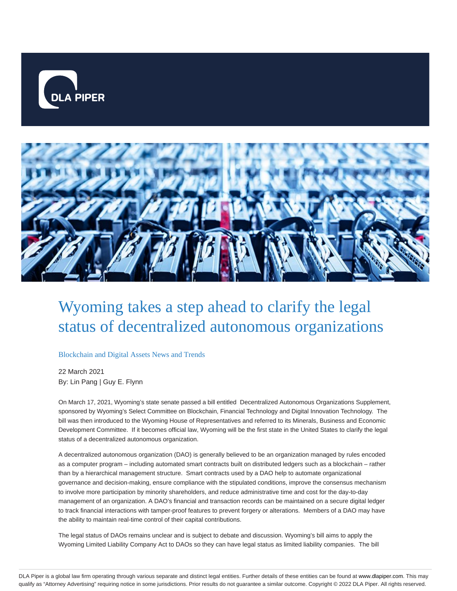



# Wyoming takes a step ahead to clarify the legal status of decentralized autonomous organizations

#### Blockchain and Digital Assets News and Trends

22 March 2021 By: Lin Pang | Guy E. Flynn

On March 17, 2021, Wyoming's state senate passed a bill entitled Decentralized Autonomous Organizations Supplement, sponsored by Wyoming's Select Committee on Blockchain, Financial Technology and Digital Innovation Technology. The bill was then introduced to the Wyoming House of Representatives and referred to its Minerals, Business and Economic Development Committee. If it becomes official law, Wyoming will be the first state in the United States to clarify the legal status of a decentralized autonomous organization.

A decentralized autonomous organization (DAO) is generally believed to be an organization managed by rules encoded as a computer program – including automated smart contracts built on distributed ledgers such as a blockchain – rather than by a hierarchical management structure. Smart contracts used by a DAO help to automate organizational governance and decision-making, ensure compliance with the stipulated conditions, improve the consensus mechanism to involve more participation by minority shareholders, and reduce administrative time and cost for the day-to-day management of an organization. A DAO's financial and transaction records can be maintained on a secure digital ledger to track financial interactions with tamper-proof features to prevent forgery or alterations. Members of a DAO may have the ability to maintain real-time control of their capital contributions.

The legal status of DAOs remains unclear and is subject to debate and discussion. Wyoming's bill aims to apply the Wyoming Limited Liability Company Act to DAOs so they can have legal status as limited liability companies. The bill

DLA Piper is a global law firm operating through various separate and distinct legal entities. Further details of these entities can be found at www.dlapiper.com. This may qualify as "Attorney Advertising" requiring notice in some jurisdictions. Prior results do not guarantee a similar outcome. Copyright © 2022 DLA Piper. All rights reserved.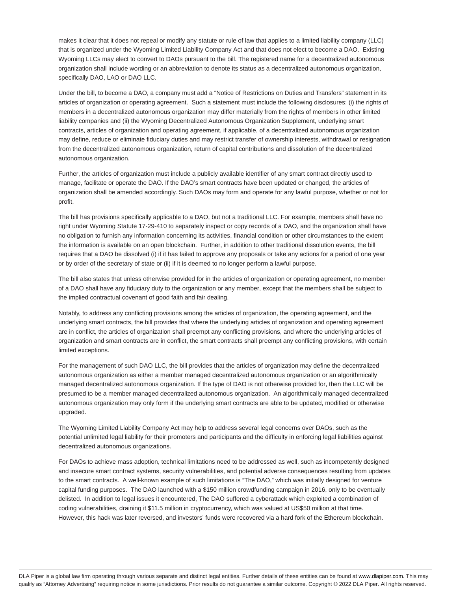makes it clear that it does not repeal or modify any statute or rule of law that applies to a limited liability company (LLC) that is organized under the Wyoming Limited Liability Company Act and that does not elect to become a DAO. Existing Wyoming LLCs may elect to convert to DAOs pursuant to the bill. The registered name for a decentralized autonomous organization shall include wording or an abbreviation to denote its status as a decentralized autonomous organization, specifically DAO, LAO or DAO LLC.

Under the bill, to become a DAO, a company must add a "Notice of Restrictions on Duties and Transfers" statement in its articles of organization or operating agreement. Such a statement must include the following disclosures: (i) the rights of members in a decentralized autonomous organization may differ materially from the rights of members in other limited liability companies and (ii) the Wyoming Decentralized Autonomous Organization Supplement, underlying smart contracts, articles of organization and operating agreement, if applicable, of a decentralized autonomous organization may define, reduce or eliminate fiduciary duties and may restrict transfer of ownership interests, withdrawal or resignation from the decentralized autonomous organization, return of capital contributions and dissolution of the decentralized autonomous organization.

Further, the articles of organization must include a publicly available identifier of any smart contract directly used to manage, facilitate or operate the DAO. If the DAO's smart contracts have been updated or changed, the articles of organization shall be amended accordingly. Such DAOs may form and operate for any lawful purpose, whether or not for profit.

The bill has provisions specifically applicable to a DAO, but not a traditional LLC. For example, members shall have no right under Wyoming Statute 17-29-410 to separately inspect or copy records of a DAO, and the organization shall have no obligation to furnish any information concerning its activities, financial condition or other circumstances to the extent the information is available on an open blockchain. Further, in addition to other traditional dissolution events, the bill requires that a DAO be dissolved (i) if it has failed to approve any proposals or take any actions for a period of one year or by order of the secretary of state or (ii) if it is deemed to no longer perform a lawful purpose.

The bill also states that unless otherwise provided for in the articles of organization or operating agreement, no member of a DAO shall have any fiduciary duty to the organization or any member, except that the members shall be subject to the implied contractual covenant of good faith and fair dealing.

Notably, to address any conflicting provisions among the articles of organization, the operating agreement, and the underlying smart contracts, the bill provides that where the underlying articles of organization and operating agreement are in conflict, the articles of organization shall preempt any conflicting provisions, and where the underlying articles of organization and smart contracts are in conflict, the smart contracts shall preempt any conflicting provisions, with certain limited exceptions.

For the management of such DAO LLC, the bill provides that the articles of organization may define the decentralized autonomous organization as either a member managed decentralized autonomous organization or an algorithmically managed decentralized autonomous organization. If the type of DAO is not otherwise provided for, then the LLC will be presumed to be a member managed decentralized autonomous organization. An algorithmically managed decentralized autonomous organization may only form if the underlying smart contracts are able to be updated, modified or otherwise upgraded.

The Wyoming Limited Liability Company Act may help to address several legal concerns over DAOs, such as the potential unlimited legal liability for their promoters and participants and the difficulty in enforcing legal liabilities against decentralized autonomous organizations.

For DAOs to achieve mass adoption, technical limitations need to be addressed as well, such as incompetently designed and insecure smart contract systems, security vulnerabilities, and potential adverse consequences resulting from updates to the smart contracts. A well-known example of such limitations is "The DAO," which was initially designed for venture capital funding purposes. The DAO launched with a \$150 million crowdfunding campaign in 2016, only to be eventually delisted. In addition to legal issues it encountered, The DAO suffered a cyberattack which exploited a combination of coding vulnerabilities, draining it \$11.5 million in cryptocurrency, which was valued at US\$50 million at that time. However, this hack was later reversed, and investors' funds were recovered via a hard fork of the Ethereum blockchain.